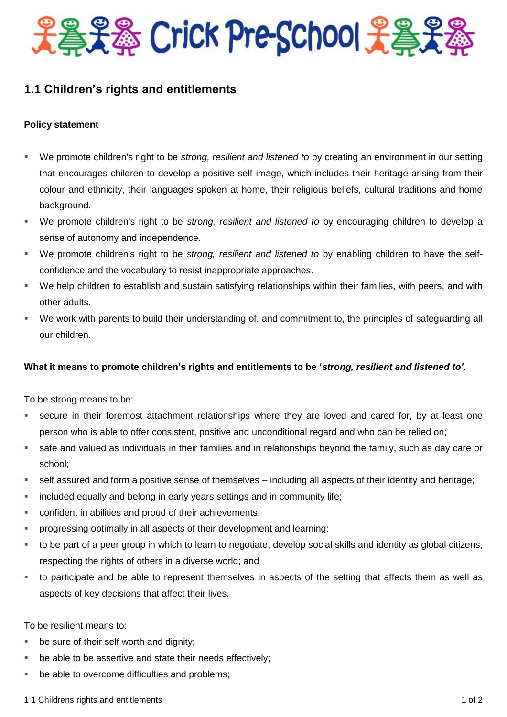

## **1.1 Children's rights and entitlements**

## **Policy statement**

- We promote children's right to be *strong, resilient and listened to* by creating an environment in our setting that encourages children to develop a positive self image, which includes their heritage arising from their colour and ethnicity, their languages spoken at home, their religious beliefs, cultural traditions and home background.
- We promote children's right to be *strong, resilient and listened to* by encouraging children to develop a sense of autonomy and independence.
- We promote children's right to be *strong, resilient and listened to* by enabling children to have the selfconfidence and the vocabulary to resist inappropriate approaches.
- We help children to establish and sustain satisfying relationships within their families, with peers, and with other adults.
- We work with parents to build their understanding of, and commitment to, the principles of safeguarding all our children.

## **What it means to promote children's rights and entitlements to be '***strong, resilient and listened to'.*

To be strong means to be:

- secure in their foremost attachment relationships where they are loved and cared for, by at least one person who is able to offer consistent, positive and unconditional regard and who can be relied on;
- safe and valued as individuals in their families and in relationships beyond the family, such as day care or school;
- self assured and form a positive sense of themselves including all aspects of their identity and heritage;
- **EXED** included equally and belong in early years settings and in community life;
- **•** confident in abilities and proud of their achievements;
- progressing optimally in all aspects of their development and learning;
- to be part of a peer group in which to learn to negotiate, develop social skills and identity as global citizens, respecting the rights of others in a diverse world; and
- to participate and be able to represent themselves in aspects of the setting that affects them as well as aspects of key decisions that affect their lives.

To be resilient means to:

- **be sure of their self worth and dignity:**
- **•** be able to be assertive and state their needs effectively;
- be able to overcome difficulties and problems;

1 1 Childrens rights and entitlements 1 of 2